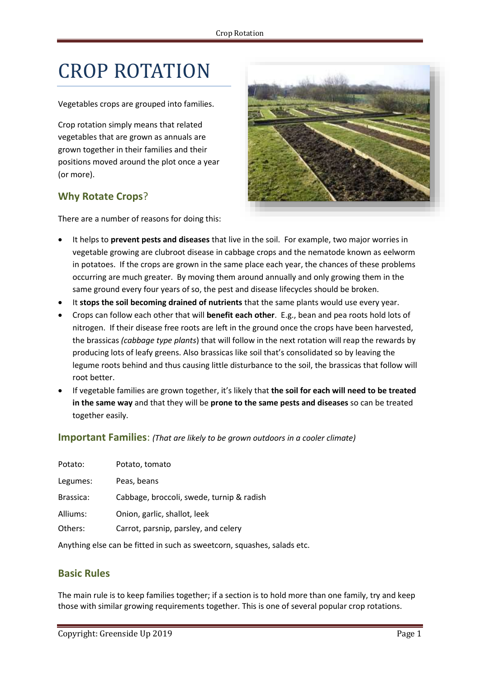# CROP ROTATION

Vegetables crops are grouped into families.

Crop rotation simply means that related vegetables that are grown as annuals are grown together in their families and their positions moved around the plot once a year (or more).

# **Why Rotate Crops**?



There are a number of reasons for doing this:

- It helps to **prevent pests and diseases** that live in the soil. For example, two major worries in vegetable growing are clubroot disease in cabbage crops and the nematode known as eelworm in potatoes. If the crops are grown in the same place each year, the chances of these problems occurring are much greater. By moving them around annually and only growing them in the same ground every four years of so, the pest and disease lifecycles should be broken.
- It **stops the soil becoming drained of nutrients** that the same plants would use every year.
- Crops can follow each other that will **benefit each other**. E.g., bean and pea roots hold lots of nitrogen. If their disease free roots are left in the ground once the crops have been harvested, the brassicas *(cabbage type plants*) that will follow in the next rotation will reap the rewards by producing lots of leafy greens. Also brassicas like soil that's consolidated so by leaving the legume roots behind and thus causing little disturbance to the soil, the brassicas that follow will root better.
- If vegetable families are grown together, it's likely that **the soil for each will need to be treated in the same way** and that they will be **prone to the same pests and diseases** so can be treated together easily.

**Important Families**: *(That are likely to be grown outdoors in a cooler climate)*

| Potato:   | Potato, tomato                            |
|-----------|-------------------------------------------|
| Legumes:  | Peas, beans                               |
| Brassica: | Cabbage, broccoli, swede, turnip & radish |
| Alliums:  | Onion, garlic, shallot, leek              |
| Others:   | Carrot, parsnip, parsley, and celery      |

Anything else can be fitted in such as sweetcorn, squashes, salads etc.

### **Basic Rules**

The main rule is to keep families together; if a section is to hold more than one family, try and keep those with similar growing requirements together. This is one of several popular crop rotations.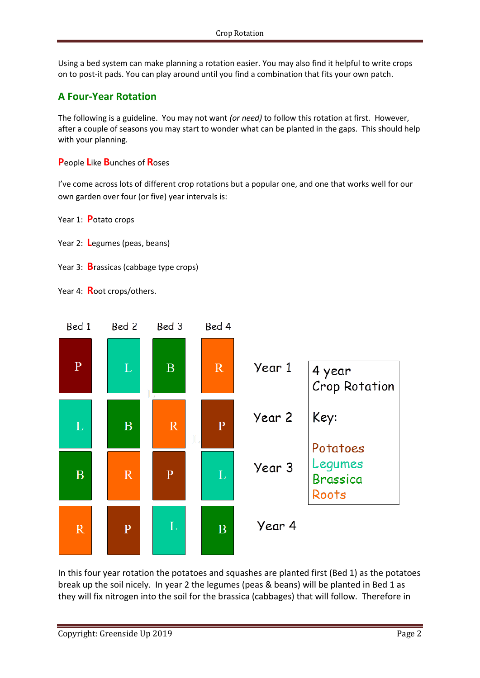Using a bed system can make planning a rotation easier. You may also find it helpful to write crops on to post-it pads. You can play around until you find a combination that fits your own patch.

# **A Four-Year Rotation**

The following is a guideline. You may not want *(or need)* to follow this rotation at first. However, after a couple of seasons you may start to wonder what can be planted in the gaps. This should help with your planning.

#### **P**eople **L**ike **B**unches of **R**oses

I've come across lots of different crop rotations but a popular one, and one that works well for our own garden over four (or five) year intervals is:

Year 1: **P**otato crops

- Year 2: **L**egumes (peas, beans)
- Year 3: **B**rassicas (cabbage type crops)

Year 4: **R**oot crops/others.



In this four year rotation the potatoes and squashes are planted first (Bed 1) as the potatoes break up the soil nicely. In year 2 the legumes (peas & beans) will be planted in Bed 1 as they will fix nitrogen into the soil for the brassica (cabbages) that will follow. Therefore in